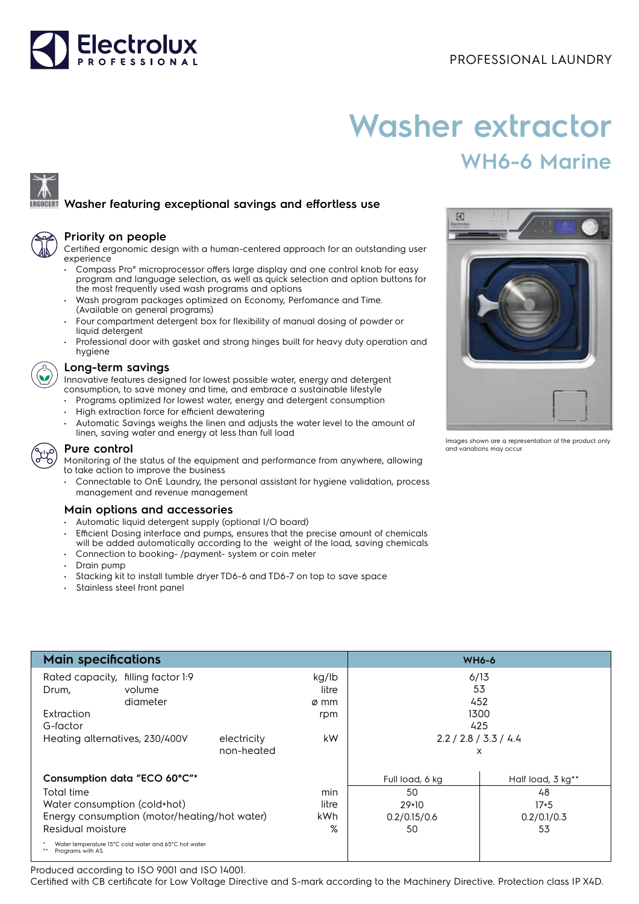



# **Washer extractor WH6-6 Marine**

# **Washer featuring exceptional savings and effortless use**

| a |  |
|---|--|

## **Priority on people**

Certified ergonomic design with a human-centered approach for an outstanding user experience

- Compass Pro® microprocessor offers large display and one control knob for easy program and language selection, as well as quick selection and option buttons for the most frequently used wash programs and options
- Wash program packages optimized on Economy, Perfomance and Time. (Available on general programs)
- Four compartment detergent box for flexibility of manual dosing of powder or liquid detergent
- Professional door with gasket and strong hinges built for heavy duty operation and hygiene

# **Long-term savings**

Innovative features designed for lowest possible water, energy and detergent consumption, to save money and time, and embrace a sustainable lifestyle

- Programs optimized for lowest water, energy and detergent consumption
- High extraction force for efficient dewatering
- Automatic Savings weighs the linen and adjusts the water level to the amount of linen, saving water and energy at less than full load



#### **Pure control**

Monitoring of the status of the equipment and performance from anywhere, allowing to take action to improve the business

• Connectable to OnE Laundry, the personal assistant for hygiene validation, process management and revenue management

## **Main options and accessories**

- Automatic liquid detergent supply (optional I/O board)
- Efficient Dosing interface and pumps, ensures that the precise amount of chemicals will be added automatically according to the weight of the load, saving chemicals
- Connection to booking- /payment- system or coin meter
- Drain pump
- Stacking kit to install tumble dryer TD6-6 and TD6-7 on top to save space
- Stainless steel front panel

| <b>Main specifications</b>                                                 |          |            |                       | <b>WH6-6</b>      |        |  |
|----------------------------------------------------------------------------|----------|------------|-----------------------|-------------------|--------|--|
| Rated capacity, filling factor 1:9                                         |          |            | kg/lb                 | 6/13              |        |  |
| Drum,                                                                      | volume   |            | litre                 | 53                |        |  |
|                                                                            | diameter |            | ø mm                  | 452               |        |  |
| Extraction                                                                 |          |            | rpm                   | 1300              |        |  |
| G-factor                                                                   |          |            |                       | 425               |        |  |
| Heating alternatives, 230/400V<br>electricity                              |          | kW         | 2.2 / 2.8 / 3.3 / 4.4 |                   |        |  |
|                                                                            |          | non-heated |                       | X                 |        |  |
| Consumption data "ECO 60°C"*                                               |          |            | Full load, 6 kg       | Half load, 3 kg** |        |  |
| Total time                                                                 |          |            | min                   | 50                | 48     |  |
| Water consumption (cold+hot)                                               |          |            | litre                 | $29+10$           | $17+5$ |  |
| Energy consumption (motor/heating/hot water)                               |          | <b>kWh</b> | 0.2/0.15/0.6          | 0.2/0.1/0.3       |        |  |
| Residual moisture                                                          |          |            | %                     | 50                | 53     |  |
| Water temperature 15°C cold water and 65°C hot water.<br>Programs with AS. |          |            |                       |                   |        |  |

Produced according to ISO 9001 and ISO 14001.

Certified with CB certificate for Low Voltage Directive and S-mark according to the Machinery Directive. Protection class IP X4D.



Images shown are a representation of the product only and variations may occur.